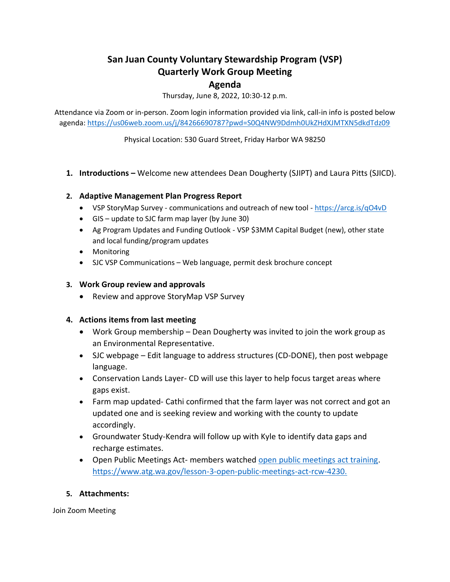# **San Juan County Voluntary Stewardship Program (VSP) Quarterly Work Group Meeting**

## **Agenda**

Thursday, June 8, 2022, 10:30-12 p.m.

Attendance via Zoom or in-person. Zoom login information provided via link, call-in info is posted below agenda:<https://us06web.zoom.us/j/84266690787?pwd=S0Q4NW9Ddmh0UkZHdXJMTXN5dkdTdz09>

Physical Location: 530 Guard Street, Friday Harbor WA 98250

**1. Introductions –** Welcome new attendees Dean Dougherty (SJIPT) and Laura Pitts (SJICD).

### **2. Adaptive Management Plan Progress Report**

- VSP StoryMap Survey communications and outreach of new tool <https://arcg.is/qO4vD>
- GIS update to SJC farm map layer (by June 30)
- Ag Program Updates and Funding Outlook VSP \$3MM Capital Budget (new), other state and local funding/program updates
- Monitoring
- SJC VSP Communications Web language, permit desk brochure concept

### **3. Work Group review and approvals**

• Review and approve StoryMap VSP Survey

### **4. Actions items from last meeting**

- Work Group membership Dean Dougherty was invited to join the work group as an Environmental Representative.
- SJC webpage Edit language to address structures (CD-DONE), then post webpage language.
- Conservation Lands Layer- CD will use this layer to help focus target areas where gaps exist.
- Farm map updated- Cathi confirmed that the farm layer was not correct and got an updated one and is seeking review and working with the county to update accordingly.
- Groundwater Study-Kendra will follow up with Kyle to identify data gaps and recharge estimates.
- Open Public Meetings Act- members watched [open public meetings act training.](https://www.atg.wa.gov/lesson-3-open-public-meetings-act-rcw-4230) [https://www.atg.wa.gov/lesson-3-open-public-meetings-act-rcw-4230.](https://www.atg.wa.gov/lesson-3-open-public-meetings-act-rcw-4230)

### **5. Attachments:**

Join Zoom Meeting